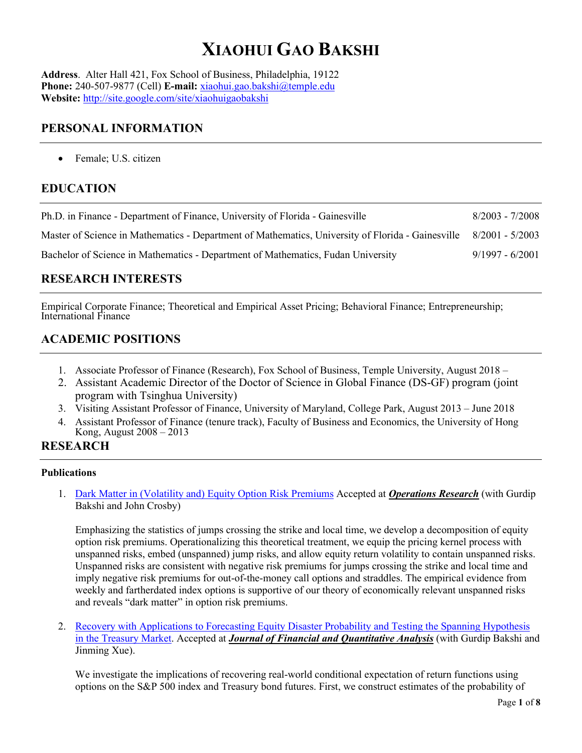# **XIAOHUI GAO BAKSHI**

**Address**. Alter Hall 421, Fox School of Business, Philadelphia, 19122 **Phone:** 240-507-9877 (Cell) **E-mail:** [xiaohui.gao.bakshi@temple.edu](mailto:xiaohui.gao.bakshi@temple.edu) **Website:** <http://site.google.com/site/xiaohuigaobakshi>

## **PERSONAL INFORMATION**

• Female; U.S. citizen

# **EDUCATION**

| Ph.D. in Finance - Department of Finance, University of Florida - Gainesville                     | $8/2003 - 7/2008$ |
|---------------------------------------------------------------------------------------------------|-------------------|
| Master of Science in Mathematics - Department of Mathematics, University of Florida - Gainesville | $8/2001 - 5/2003$ |
| Bachelor of Science in Mathematics - Department of Mathematics, Fudan University                  | $9/1997 - 6/2001$ |

# **RESEARCH INTERESTS**

Empirical Corporate Finance; Theoretical and Empirical Asset Pricing; Behavioral Finance; Entrepreneurship; International Finance

# **ACADEMIC POSITIONS**

- 1. Associate Professor of Finance (Research), Fox School of Business, Temple University, August 2018 –
- 2. Assistant Academic Director of the Doctor of Science in Global Finance (DS-GF) program (joint program with Tsinghua University)
- 3. Visiting Assistant Professor of Finance, University of Maryland, College Park, August 2013 June 2018
- 4. Assistant Professor of Finance (tenure track), Faculty of Business and Economics, the University of Hong Kong, August 2008 – 2013

## **RESEARCH**

#### **Publications**

1. Dark Matter in [\(Volatility and\) Equity Option Risk Premiums](https://drive.google.com/file/d/1XKL-sdnOAk4V203adj0f6FPL-47pG_kl/view?usp=sharing) Accepted at *Operations Research* (with Gurdip Bakshi and John Crosby)

Emphasizing the statistics of jumps crossing the strike and local time, we develop a decomposition of equity option risk premiums. Operationalizing this theoretical treatment, we equip the pricing kernel process with unspanned risks, embed (unspanned) jump risks, and allow equity return volatility to contain unspanned risks. Unspanned risks are consistent with negative risk premiums for jumps crossing the strike and local time and imply negative risk premiums for out-of-the-money call options and straddles. The empirical evidence from weekly and fartherdated index options is supportive of our theory of economically relevant unspanned risks and reveals "dark matter" in option risk premiums.

2. [Recovery with Applications to Forecasting Equity Disaster](https://drive.google.com/file/d/1nv_uwhum13Ip7g2IirlyI9z9NQvhc4rw/view?usp=sharing) Probability and Testing the Spanning Hypothesis [in the Treasury](https://drive.google.com/file/d/1nv_uwhum13Ip7g2IirlyI9z9NQvhc4rw/view?usp=sharing) Market. Accepted at *Journal of Financial and Quantitative Analysis* (with Gurdip Bakshi and Jinming Xue).

We investigate the implications of recovering real-world conditional expectation of return functions using options on the S&P 500 index and Treasury bond futures. First, we construct estimates of the probability of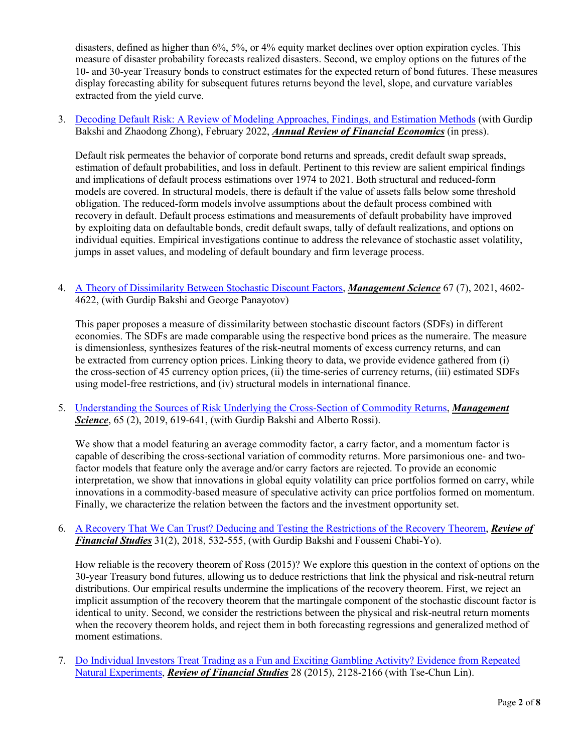disasters, defined as higher than 6%, 5%, or 4% equity market declines over option expiration cycles. This measure of disaster probability forecasts realized disasters. Second, we employ options on the futures of the 10- and 30-year Treasury bonds to construct estimates for the expected return of bond futures. These measures display forecasting ability for subsequent futures returns beyond the level, slope, and curvature variables extracted from the yield curve.

3. [Decoding Default Risk: A Review of Modeling Approaches, Findings, and Estimation Methods](https://drive.google.com/file/d/11C5PzTC6n5h_JarBVgjIfoKtWKFXowyt/view?usp=sharing) (with Gurdip Bakshi and Zhaodong Zhong), February 2022, *Annual Review of Financial Economics* (in press).

Default risk permeates the behavior of corporate bond returns and spreads, credit default swap spreads, estimation of default probabilities, and loss in default. Pertinent to this review are salient empirical findings and implications of default process estimations over 1974 to 2021. Both structural and reduced-form models are covered. In structural models, there is default if the value of assets falls below some threshold obligation. The reduced-form models involve assumptions about the default process combined with recovery in default. Default process estimations and measurements of default probability have improved by exploiting data on defaultable bonds, credit default swaps, tally of default realizations, and options on individual equities. Empirical investigations continue to address the relevance of stochastic asset volatility, jumps in asset values, and modeling of default boundary and firm leverage process.

4. [A Theory of Dissimilarity Between Stochastic Discount Factors,](https://drive.google.com/file/d/1SKGKgF5XLvlI7BvmMk6l-lWv2mRPNhrf/view?usp=sharing) *Management Science* 67 (7), 2021, 4602- 4622, (with Gurdip Bakshi and George Panayotov)

This paper proposes a measure of dissimilarity between stochastic discount factors (SDFs) in different economies. The SDFs are made comparable using the respective bond prices as the numeraire. The measure is dimensionless, synthesizes features of the risk-neutral moments of excess currency returns, and can be extracted from currency option prices. Linking theory to data, we provide evidence gathered from (i) the cross-section of 45 currency option prices, (ii) the time-series of currency returns, (iii) estimated SDFs using model-free restrictions, and (iv) structural models in international finance.

5. [Understanding the Sources of Risk Underlying the Cross-Section of](https://drive.google.com/file/d/1E1BgHiIBqrWWuB3UA7xFyTyJBm04jxGT/view?usp=sharing) Commodity Returns, *Management Science*, 65 (2), 2019, 619-641, (with Gurdip Bakshi and Alberto Rossi).

We show that a model featuring an average commodity factor, a carry factor, and a momentum factor is capable of describing the cross-sectional variation of commodity returns. More parsimonious one- and twofactor models that feature only the average and/or carry factors are rejected. To provide an economic interpretation, we show that innovations in global equity volatility can price portfolios formed on carry, while innovations in a commodity-based measure of speculative activity can price portfolios formed on momentum. Finally, we characterize the relation between the factors and the investment opportunity set.

6. [A Recovery That We Can Trust? Deducing and Testing the Restrictions of the Recovery Theorem,](https://drive.google.com/file/d/1Zuwxv-kAdlVv06r7dzjI6ZH4R7FlNAix/view?usp=sharing) *Review of Financial Studies* 31(2), 2018, 532-555, (with Gurdip Bakshi and Fousseni Chabi-Yo).

How reliable is the recovery theorem of Ross (2015)? We explore this question in the context of options on the 30-year Treasury bond futures, allowing us to deduce restrictions that link the physical and risk-neutral return distributions. Our empirical results undermine the implications of the recovery theorem. First, we reject an implicit assumption of the recovery theorem that the martingale component of the stochastic discount factor is identical to unity. Second, we consider the restrictions between the physical and risk-neutral return moments when the recovery theorem holds, and reject them in both forecasting regressions and generalized method of moment estimations.

7. [Do Individual Investors Treat Trading as a Fun and Exciting Gambling Activity? Evidence from](https://drive.google.com/file/d/1oOtmMyH3mnFWnbRcMNCEs2B_Nv4SPvNC/view?usp=sharing) Repeated [Natural Experiments,](https://drive.google.com/file/d/1oOtmMyH3mnFWnbRcMNCEs2B_Nv4SPvNC/view?usp=sharing) *Review of Financial Studies* 28 (2015), 2128-2166 (with Tse-Chun Lin).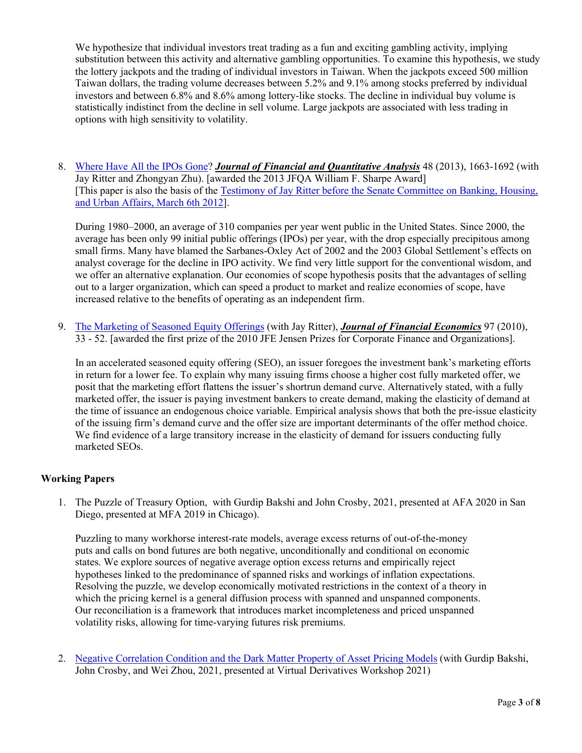We hypothesize that individual investors treat trading as a fun and exciting gambling activity, implying substitution between this activity and alternative gambling opportunities. To examine this hypothesis, we study the lottery jackpots and the trading of individual investors in Taiwan. When the jackpots exceed 500 million Taiwan dollars, the trading volume decreases between 5.2% and 9.1% among stocks preferred by individual investors and between 6.8% and 8.6% among lottery-like stocks. The decline in individual buy volume is statistically indistinct from the decline in sell volume. Large jackpots are associated with less trading in options with high sensitivity to volatility.

8. [Where Have All the IPOs Gone?](https://drive.google.com/file/d/1VvFeI5vx0_lKtAMzqBynL2eH7Wt9xAch/view?usp=sharing) *Journal of Financial and Quantitative Analysis* 48 (2013), 1663-1692 (with Jay Ritter and Zhongyan Zhu). [awarded the 2013 JFQA William F. Sharpe Award] [This paper is also the basis of the Testimony of Jay [Ritter before the Senate Committee on Banking, Housing,](http://banking.senate.gov/public/index.cfm?FuseAction=Files.View&FileStore_id=a5ded25c-135d-484a-943a-bfa52fba3206)  [and Urban Affairs, March 6th 2012\]](http://banking.senate.gov/public/index.cfm?FuseAction=Files.View&FileStore_id=a5ded25c-135d-484a-943a-bfa52fba3206).

During 1980–2000, an average of 310 companies per year went public in the United States. Since 2000, the average has been only 99 initial public offerings (IPOs) per year, with the drop especially precipitous among small firms. Many have blamed the Sarbanes-Oxley Act of 2002 and the 2003 Global Settlement's effects on analyst coverage for the decline in IPO activity. We find very little support for the conventional wisdom, and we offer an alternative explanation. Our economies of scope hypothesis posits that the advantages of selling out to a larger organization, which can speed a product to market and realize economies of scope, have increased relative to the benefits of operating as an independent firm.

9. [The Marketing of Seasoned Equity Offerings](https://drive.google.com/file/d/1Lt1NxVjmhYabeI1pAQeEAJ64DDvu3gY0/view?usp=sharing) (with Jay Ritter), *Journal of Financial Economics* 97 (2010), 33 - 52. [awarded the first prize of the 2010 JFE Jensen Prizes for Corporate Finance and Organizations].

In an accelerated seasoned equity offering (SEO), an issuer foregoes the investment bank's marketing efforts in return for a lower fee. To explain why many issuing firms choose a higher cost fully marketed offer, we posit that the marketing effort flattens the issuer's shortrun demand curve. Alternatively stated, with a fully marketed offer, the issuer is paying investment bankers to create demand, making the elasticity of demand at the time of issuance an endogenous choice variable. Empirical analysis shows that both the pre-issue elasticity of the issuing firm's demand curve and the offer size are important determinants of the offer method choice. We find evidence of a large transitory increase in the elasticity of demand for issuers conducting fully marketed SEOs.

#### **Working Papers**

1. The Puzzle of Treasury Option, with Gurdip Bakshi and John Crosby, 2021, presented at AFA 2020 in San Diego, presented at MFA 2019 in Chicago).

Puzzling to many workhorse interest-rate models, average excess returns of out-of-the-money puts and calls on bond futures are both negative, unconditionally and conditional on economic states. We explore sources of negative average option excess returns and empirically reject hypotheses linked to the predominance of spanned risks and workings of inflation expectations. Resolving the puzzle, we develop economically motivated restrictions in the context of a theory in which the pricing kernel is a general diffusion process with spanned and unspanned components. Our reconciliation is a framework that introduces market incompleteness and priced unspanned volatility risks, allowing for time-varying futures risk premiums.

2. [Negative Correlation Condition and the Dark](https://drive.google.com/file/d/1aBRCICIu7DLq2Ix3_Xt6q0Eomc88XbE7/view?usp=sharing) Matter Property of Asset Pricing Models (with Gurdip Bakshi, John Crosby, and Wei Zhou, 2021, presented at Virtual Derivatives Workshop 2021)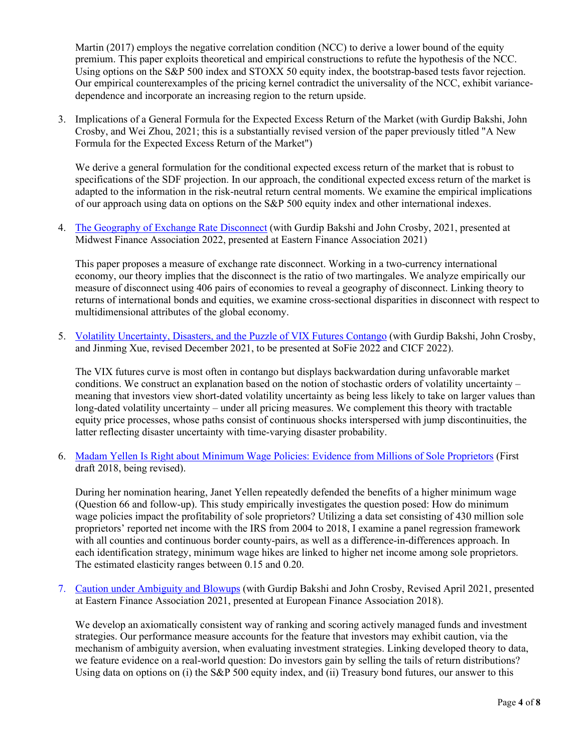Martin (2017) employs the negative correlation condition (NCC) to derive a lower bound of the equity premium. This paper exploits theoretical and empirical constructions to refute the hypothesis of the NCC. Using options on the S&P 500 index and STOXX 50 equity index, the bootstrap-based tests favor rejection. Our empirical counterexamples of the pricing kernel contradict the universality of the NCC, exhibit variancedependence and incorporate an increasing region to the return upside.

3. Implications of a General Formula for the Expected Excess Return of the Market (with Gurdip Bakshi, John Crosby, and Wei Zhou, 2021; this is a substantially revised version of the paper previously titled "A New Formula for the Expected Excess Return of the Market")

We derive a general formulation for the conditional expected excess return of the market that is robust to specifications of the SDF projection. In our approach, the conditional expected excess return of the market is adapted to the information in the risk-neutral return central moments. We examine the empirical implications of our approach using data on options on the S&P 500 equity index and other international indexes.

4. [The Geography of Exchange Rate Disconnect](https://drive.google.com/file/d/1_dlVW1t8dbwwd4YIsiMqpk9kpi_vkeDg/view?usp=sharing) (with Gurdip Bakshi and John Crosby, 2021, presented at Midwest Finance Association 2022, presented at Eastern Finance Association 2021)

This paper proposes a measure of exchange rate disconnect. Working in a two-currency international economy, our theory implies that the disconnect is the ratio of two martingales. We analyze empirically our measure of disconnect using 406 pairs of economies to reveal a geography of disconnect. Linking theory to returns of international bonds and equities, we examine cross-sectional disparities in disconnect with respect to multidimensional attributes of the global economy.

5. [Volatility Uncertainty, Disasters, and the Puzzle of VIX Futures](https://drive.google.com/file/d/1sxmuYHF9x-0ux54f8NmGKbPeLp1DV4Mx/view?usp=sharing) Contango (with Gurdip Bakshi, John Crosby, and Jinming Xue, revised December 2021, to be presented at SoFie 2022 and CICF 2022).

The VIX futures curve is most often in contango but displays backwardation during unfavorable market conditions. We construct an explanation based on the notion of stochastic orders of volatility uncertainty – meaning that investors view short-dated volatility uncertainty as being less likely to take on larger values than long-dated volatility uncertainty – under all pricing measures. We complement this theory with tractable equity price processes, whose paths consist of continuous shocks interspersed with jump discontinuities, the latter reflecting disaster uncertainty with time-varying disaster probability.

6. [Madam Yellen Is Right about Minimum Wage Policies: Evidence](https://drive.google.com/file/d/1yjFCgWXMUL5ZEIgMIHyMTiSqEsbkO3Pz/view?usp=sharing) from Millions of Sole Proprietors (First draft 2018, being revised).

During her nomination hearing, Janet Yellen repeatedly defended the benefits of a higher minimum wage (Question 66 and follow-up). This study empirically investigates the question posed: How do minimum wage policies impact the profitability of sole proprietors? Utilizing a data set consisting of 430 million sole proprietors' reported net income with the IRS from 2004 to 2018, I examine a panel regression framework with all counties and continuous border county-pairs, as well as a difference-in-differences approach. In each identification strategy, minimum wage hikes are linked to higher net income among sole proprietors. The estimated elasticity ranges between 0.15 and 0.20.

7. [Caution under Ambiguity and Blowups](https://papers.ssrn.com/sol3/papers.cfm?abstract_id=3874848) (with Gurdip Bakshi and John Crosby, Revised April 2021, presented at Eastern Finance Association 2021, presented at European Finance Association 2018).

We develop an axiomatically consistent way of ranking and scoring actively managed funds and investment strategies. Our performance measure accounts for the feature that investors may exhibit caution, via the mechanism of ambiguity aversion, when evaluating investment strategies. Linking developed theory to data, we feature evidence on a real-world question: Do investors gain by selling the tails of return distributions? Using data on options on (i) the S&P 500 equity index, and (ii) Treasury bond futures, our answer to this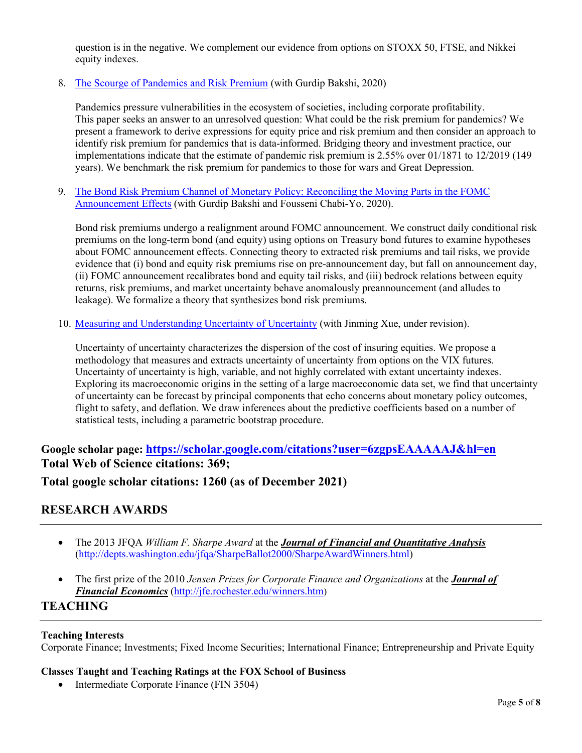question is in the negative. We complement our evidence from options on STOXX 50, FTSE, and Nikkei equity indexes.

8. The Scourge of [Pandemics and Risk Premium](https://drive.google.com/open?id=1-dwaK07A4UezTUMO0lX7egz9UTxmDWIZ) (with Gurdip Bakshi, 2020)

Pandemics pressure vulnerabilities in the ecosystem of societies, including corporate profitability. This paper seeks an answer to an unresolved question: What could be the risk premium for pandemics? We present a framework to derive expressions for equity price and risk premium and then consider an approach to identify risk premium for pandemics that is data-informed. Bridging theory and investment practice, our implementations indicate that the estimate of pandemic risk premium is 2.55% over 01/1871 to 12/2019 (149 years). We benchmark the risk premium for pandemics to those for wars and Great Depression.

9. The Bond Risk Premium Channel of Monetary [Policy: Reconciling the Moving Parts in the FOMC](https://drive.google.com/open?id=1SQUT868xngkSGZaPCMPxpMReaCrr9jIW)  [Announcement Effects](https://drive.google.com/open?id=1SQUT868xngkSGZaPCMPxpMReaCrr9jIW) (with Gurdip Bakshi and Fousseni Chabi-Yo, 2020).

Bond risk premiums undergo a realignment around FOMC announcement. We construct daily conditional risk premiums on the long-term bond (and equity) using options on Treasury bond futures to examine hypotheses about FOMC announcement effects. Connecting theory to extracted risk premiums and tail risks, we provide evidence that (i) bond and equity risk premiums rise on pre-announcement day, but fall on announcement day, (ii) FOMC announcement recalibrates bond and equity tail risks, and (iii) bedrock relations between equity returns, risk premiums, and market uncertainty behave anomalously preannouncement (and alludes to leakage). We formalize a theory that synthesizes bond risk premiums.

10. [Measuring and Understanding Uncertainty of Uncertainty](https://drive.google.com/open?id=1cy9TGnL82JQeKqq512FFTJH7D3C1WAG8) (with Jinming Xue, under revision).

Uncertainty of uncertainty characterizes the dispersion of the cost of insuring equities. We propose a methodology that measures and extracts uncertainty of uncertainty from options on the VIX futures. Uncertainty of uncertainty is high, variable, and not highly correlated with extant uncertainty indexes. Exploring its macroeconomic origins in the setting of a large macroeconomic data set, we find that uncertainty of uncertainty can be forecast by principal components that echo concerns about monetary policy outcomes, flight to safety, and deflation. We draw inferences about the predictive coefficients based on a number of statistical tests, including a parametric bootstrap procedure.

## **Google scholar page: <https://scholar.google.com/citations?user=6zgpsEAAAAAJ&hl=en> Total Web of Science citations: 369;**

**Total google scholar citations: 1260 (as of December 2021)**

## **RESEARCH AWARDS**

- The 2013 JFQA *William F. Sharpe Award* at the *Journal of Financial and Quantitative Analysis* [\(http://depts.washington.edu/jfqa/SharpeBallot2000/SharpeAwardWinners.html\)](http://depts.washington.edu/jfqa/SharpeBallot2000/SharpeAwardWinners.html)
- The first prize of the 2010 *Jensen Prizes for Corporate Finance and Organizations* at the *Journal of Financial Economics* [\(http://jfe.rochester.edu/winners.htm\)](http://jfe.rochester.edu/winners.htm)

## **TEACHING**

#### **Teaching Interests**

Corporate Finance; Investments; Fixed Income Securities; International Finance; Entrepreneurship and Private Equity

#### **Classes Taught and Teaching Ratings at the FOX School of Business**

• Intermediate Corporate Finance (FIN 3504)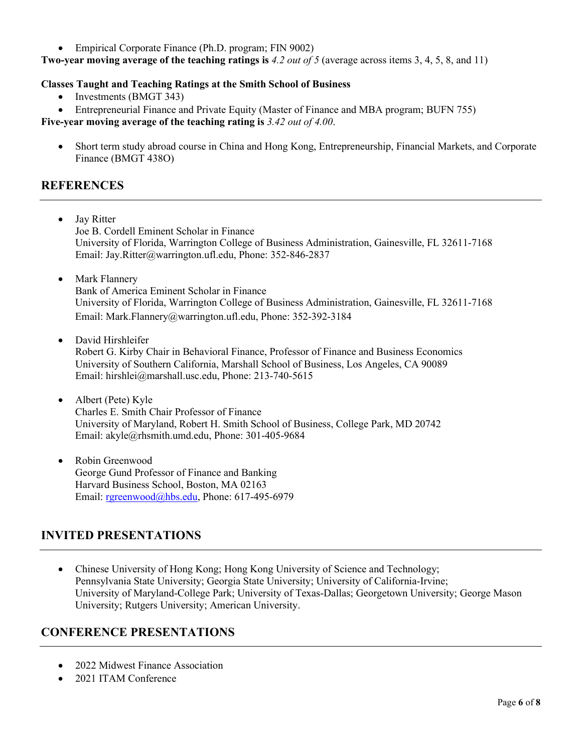• Empirical Corporate Finance (Ph.D. program; FIN 9002)

**Two-year moving average of the teaching ratings is** *4.2 out of 5* (average across items 3, 4, 5, 8, and 11)

#### **Classes Taught and Teaching Ratings at the Smith School of Business**

- Investments (BMGT 343)
- Entrepreneurial Finance and Private Equity (Master of Finance and MBA program; BUFN 755)

**Five-year moving average of the teaching rating is** *3.42 out of 4.00*.

• Short term study abroad course in China and Hong Kong, Entrepreneurship, Financial Markets, and Corporate Finance (BMGT 438O)

## **REFERENCES**

- Jay Ritter Joe B. Cordell Eminent Scholar in Finance University of Florida, Warrington College of Business Administration, Gainesville, FL 32611-7168 Email: Jay.Ritter@warrington.ufl.edu, Phone: 352-846-2837
- Mark Flannery Bank of America Eminent Scholar in Finance University of Florida, Warrington College of Business Administration, Gainesville, FL 32611-7168 Email: Mark.Flannery@warrington.ufl.edu, Phone: 352-392-3184
- David Hirshleifer Robert G. Kirby Chair in Behavioral Finance, Professor of Finance and Business Economics University of Southern California, Marshall School of Business, Los Angeles, CA 90089 Email: hirshlei@marshall.usc.edu, Phone: 213-740-5615
- Albert (Pete) Kyle Charles E. Smith Chair Professor of Finance University of Maryland, Robert H. Smith School of Business, College Park, MD 20742 Email: akyle@rhsmith.umd.edu, Phone: 301-405-9684
- Robin Greenwood George Gund Professor of Finance and Banking Harvard Business School, Boston, MA 02163 Email: [rgreenwood@hbs.edu,](mailto:rgreenwood@hbs.edu) Phone: 617-495-6979

## **INVITED PRESENTATIONS**

• Chinese University of Hong Kong; Hong Kong University of Science and Technology; Pennsylvania State University; Georgia State University; University of California-Irvine; University of Maryland-College Park; University of Texas-Dallas; Georgetown University; George Mason University; Rutgers University; American University.

## **CONFERENCE PRESENTATIONS**

- 2022 Midwest Finance Association
- 2021 ITAM Conference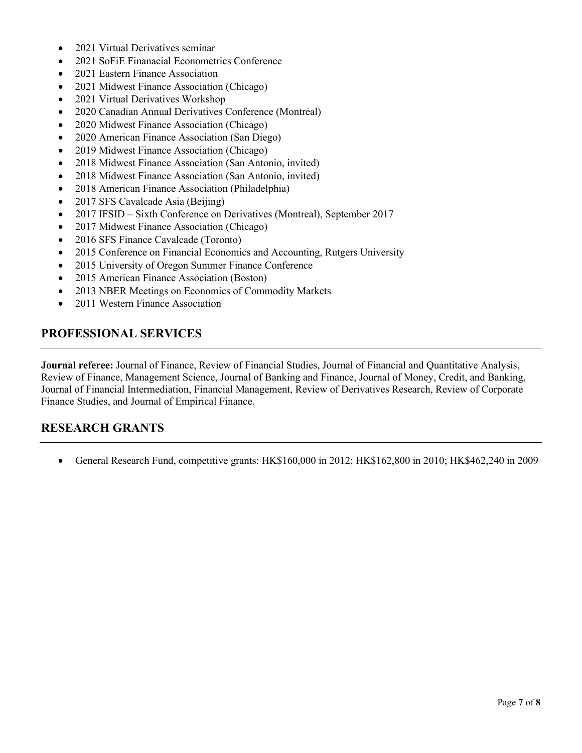- 2021 Virtual Derivatives seminar
- 2021 SoFiE Finanacial Econometrics Conference
- 2021 Eastern Finance Association
- 2021 Midwest Finance Association (Chicago)
- 2021 Virtual Derivatives Workshop
- 2020 Canadian Annual Derivatives Conference (Montréal)
- 2020 Midwest Finance Association (Chicago)
- 2020 American Finance Association (San Diego)
- 2019 Midwest Finance Association (Chicago)
- 2018 Midwest Finance Association (San Antonio, invited)
- 2018 Midwest Finance Association (San Antonio, invited)
- 2018 American Finance Association (Philadelphia)
- 2017 SFS Cavalcade Asia (Beijing)
- 2017 IFSID Sixth Conference on Derivatives (Montreal), September 2017
- 2017 Midwest Finance Association (Chicago)
- 2016 SFS Finance Cavalcade (Toronto)
- 2015 Conference on Financial Economics and Accounting, Rutgers University
- 2015 University of Oregon Summer Finance Conference
- 2015 American Finance Association (Boston)
- 2013 NBER Meetings on Economics of Commodity Markets
- 2011 Western Finance Association

## **PROFESSIONAL SERVICES**

**Journal referee:** Journal of Finance, Review of Financial Studies, Journal of Financial and Quantitative Analysis, Review of Finance, Management Science, Journal of Banking and Finance, Journal of Money, Credit, and Banking, Journal of Financial Intermediation, Financial Management, Review of Derivatives Research, Review of Corporate Finance Studies, and Journal of Empirical Finance.

## **RESEARCH GRANTS**

• General Research Fund, competitive grants: HK\$160,000 in 2012; HK\$162,800 in 2010; HK\$462,240 in 2009